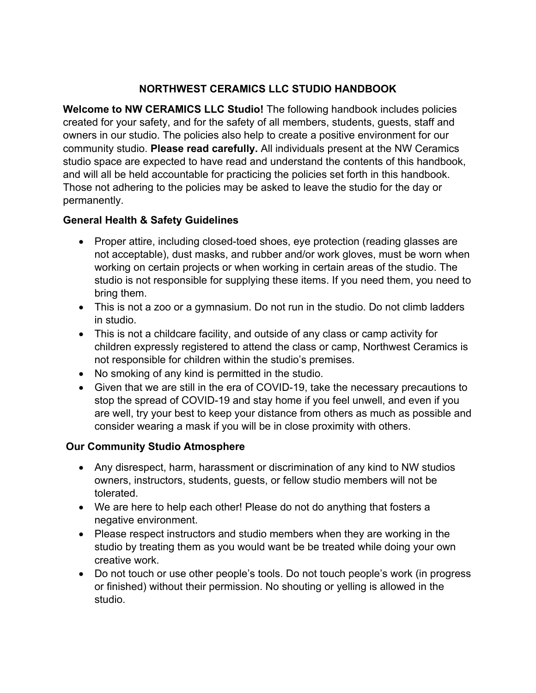### **NORTHWEST CERAMICS LLC STUDIO HANDBOOK**

**Welcome to NW CERAMICS LLC Studio!** The following handbook includes policies created for your safety, and for the safety of all members, students, guests, staff and owners in our studio. The policies also help to create a positive environment for our community studio. **Please read carefully.** All individuals present at the NW Ceramics studio space are expected to have read and understand the contents of this handbook, and will all be held accountable for practicing the policies set forth in this handbook. Those not adhering to the policies may be asked to leave the studio for the day or permanently.

### **General Health & Safety Guidelines**

- Proper attire, including closed-toed shoes, eye protection (reading glasses are not acceptable), dust masks, and rubber and/or work gloves, must be worn when working on certain projects or when working in certain areas of the studio. The studio is not responsible for supplying these items. If you need them, you need to bring them.
- This is not a zoo or a gymnasium. Do not run in the studio. Do not climb ladders in studio.
- This is not a childcare facility, and outside of any class or camp activity for children expressly registered to attend the class or camp, Northwest Ceramics is not responsible for children within the studio's premises.
- No smoking of any kind is permitted in the studio.
- Given that we are still in the era of COVID-19, take the necessary precautions to stop the spread of COVID-19 and stay home if you feel unwell, and even if you are well, try your best to keep your distance from others as much as possible and consider wearing a mask if you will be in close proximity with others.

# **Our Community Studio Atmosphere**

- Any disrespect, harm, harassment or discrimination of any kind to NW studios owners, instructors, students, guests, or fellow studio members will not be tolerated.
- We are here to help each other! Please do not do anything that fosters a negative environment.
- Please respect instructors and studio members when they are working in the studio by treating them as you would want be be treated while doing your own creative work.
- Do not touch or use other people's tools. Do not touch people's work (in progress or finished) without their permission. No shouting or yelling is allowed in the studio.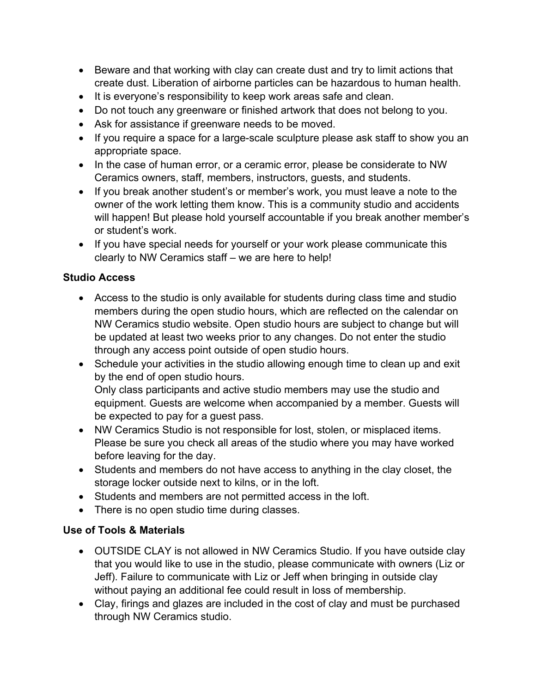- Beware and that working with clay can create dust and try to limit actions that create dust. Liberation of airborne particles can be hazardous to human health.
- It is everyone's responsibility to keep work areas safe and clean.
- Do not touch any greenware or finished artwork that does not belong to you.
- Ask for assistance if greenware needs to be moved.
- If you require a space for a large-scale sculpture please ask staff to show you an appropriate space.
- In the case of human error, or a ceramic error, please be considerate to NW Ceramics owners, staff, members, instructors, guests, and students.
- If you break another student's or member's work, you must leave a note to the owner of the work letting them know. This is a community studio and accidents will happen! But please hold yourself accountable if you break another member's or student's work.
- If you have special needs for yourself or your work please communicate this clearly to NW Ceramics staff – we are here to help!

#### **Studio Access**

- Access to the studio is only available for students during class time and studio members during the open studio hours, which are reflected on the calendar on NW Ceramics studio website. Open studio hours are subject to change but will be updated at least two weeks prior to any changes. Do not enter the studio through any access point outside of open studio hours.
- Schedule your activities in the studio allowing enough time to clean up and exit by the end of open studio hours. Only class participants and active studio members may use the studio and equipment. Guests are welcome when accompanied by a member. Guests will be expected to pay for a guest pass.
- NW Ceramics Studio is not responsible for lost, stolen, or misplaced items. Please be sure you check all areas of the studio where you may have worked before leaving for the day.
- Students and members do not have access to anything in the clay closet, the storage locker outside next to kilns, or in the loft.
- Students and members are not permitted access in the loft.
- There is no open studio time during classes.

#### **Use of Tools & Materials**

- OUTSIDE CLAY is not allowed in NW Ceramics Studio. If you have outside clay that you would like to use in the studio, please communicate with owners (Liz or Jeff). Failure to communicate with Liz or Jeff when bringing in outside clay without paying an additional fee could result in loss of membership.
- Clay, firings and glazes are included in the cost of clay and must be purchased through NW Ceramics studio.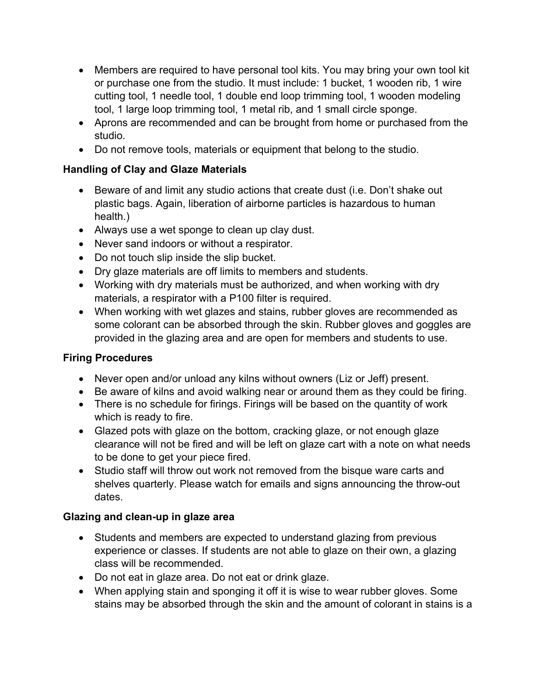- Members are required to have personal tool kits. You may bring your own tool kit or purchase one from the studio. It must include: 1 bucket, 1 wooden rib, 1 wire cutting tool, 1 needle tool, 1 double end loop trimming tool, 1 wooden modeling tool, 1 large loop trimming tool, 1 metal rib, and 1 small circle sponge.
- Aprons are recommended and can be brought from home or purchased from the studio.
- Do not remove tools, materials or equipment that belong to the studio.

### **Handling of Clay and Glaze Materials**

- Beware of and limit any studio actions that create dust (i.e. Don't shake out plastic bags. Again, liberation of airborne particles is hazardous to human health.)
- Always use a wet sponge to clean up clay dust.
- Never sand indoors or without a respirator.
- Do not touch slip inside the slip bucket.
- Dry glaze materials are off limits to members and students.
- Working with dry materials must be authorized, and when working with dry materials, a respirator with a P100 filter is required.
- When working with wet glazes and stains, rubber gloves are recommended as some colorant can be absorbed through the skin. Rubber gloves and goggles are provided in the glazing area and are open for members and students to use.

# **Firing Procedures**

- Never open and/or unload any kilns without owners (Liz or Jeff) present.
- Be aware of kilns and avoid walking near or around them as they could be firing.
- There is no schedule for firings. Firings will be based on the quantity of work which is ready to fire.
- Glazed pots with glaze on the bottom, cracking glaze, or not enough glaze clearance will not be fired and will be left on glaze cart with a note on what needs to be done to get your piece fired.
- Studio staff will throw out work not removed from the bisque ware carts and shelves quarterly. Please watch for emails and signs announcing the throw-out dates.

#### **Glazing and clean-up in glaze area**

- Students and members are expected to understand glazing from previous experience or classes. If students are not able to glaze on their own, a glazing class will be recommended.
- Do not eat in glaze area. Do not eat or drink glaze.
- When applying stain and sponging it off it is wise to wear rubber gloves. Some stains may be absorbed through the skin and the amount of colorant in stains is a